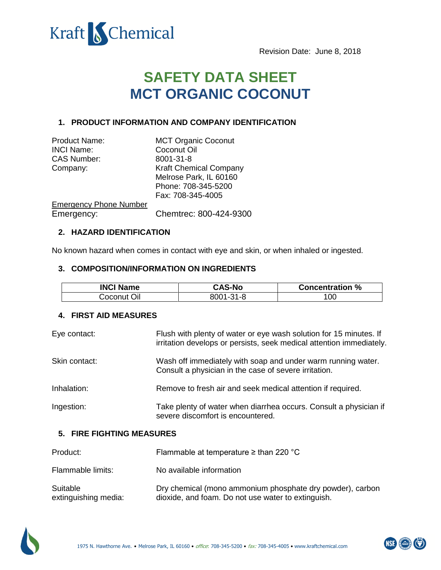

Revision Date: June 8, 2018

# **SAFETY DATA SHEET MCT ORGANIC COCONUT**

# **1. PRODUCT INFORMATION AND COMPANY IDENTIFICATION**

| <b>Product Name:</b>          | <b>MCT Organic Coconut</b>    |
|-------------------------------|-------------------------------|
| <b>INCI Name:</b>             | Coconut Oil                   |
| <b>CAS Number:</b>            | 8001-31-8                     |
| Company:                      | <b>Kraft Chemical Company</b> |
|                               | Melrose Park, IL 60160        |
|                               | Phone: 708-345-5200           |
|                               | Fax: 708-345-4005             |
| <b>Emergency Phone Number</b> |                               |
| Emergency:                    | Chemtrec: 800-424-9300        |

## **2. HAZARD IDENTIFICATION**

No known hazard when comes in contact with eye and skin, or when inhaled or ingested.

#### **3. COMPOSITION/INFORMATION ON INGREDIENTS**

| <b>INCI Name</b> | <b>CAS-No</b> | <b>Concentration %</b> |
|------------------|---------------|------------------------|
| Coconut Oil      | 8001-31-8     | 100                    |

#### **4. FIRST AID MEASURES**

| Eye contact:  | Flush with plenty of water or eye wash solution for 15 minutes. If<br>irritation develops or persists, seek medical attention immediately. |
|---------------|--------------------------------------------------------------------------------------------------------------------------------------------|
| Skin contact: | Wash off immediately with soap and under warm running water.<br>Consult a physician in the case of severe irritation.                      |
| Inhalation:   | Remove to fresh air and seek medical attention if required.                                                                                |
| Ingestion:    | Take plenty of water when diarrhea occurs. Consult a physician if<br>severe discomfort is encountered.                                     |

# **5. FIRE FIGHTING MEASURES**

| Product:                         | Flammable at temperature $\geq$ than 220 °C                                                                     |
|----------------------------------|-----------------------------------------------------------------------------------------------------------------|
| Flammable limits:                | No available information                                                                                        |
| Suitable<br>extinguishing media: | Dry chemical (mono ammonium phosphate dry powder), carbon<br>dioxide, and foam. Do not use water to extinguish. |



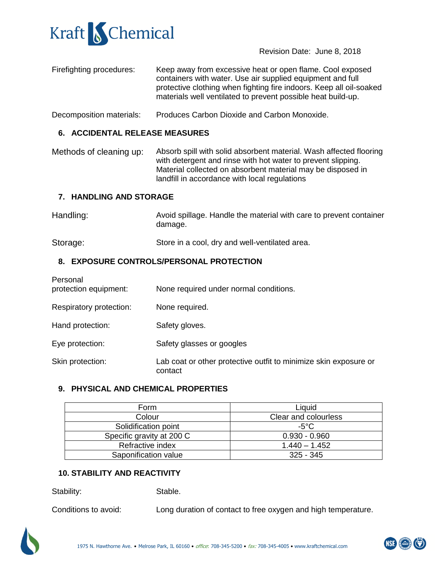

Revision Date: June 8, 2018

- Firefighting procedures: Keep away from excessive heat or open flame. Cool exposed containers with water. Use air supplied equipment and full protective clothing when fighting fire indoors. Keep all oil-soaked materials well ventilated to prevent possible heat build-up.
- Decomposition materials: Produces Carbon Dioxide and Carbon Monoxide.

# **6. ACCIDENTAL RELEASE MEASURES**

Methods of cleaning up: Absorb spill with solid absorbent material. Wash affected flooring with detergent and rinse with hot water to prevent slipping. Material collected on absorbent material may be disposed in landfill in accordance with local regulations

## **7. HANDLING AND STORAGE**

| Handling: | Avoid spillage. Handle the material with care to prevent container |
|-----------|--------------------------------------------------------------------|
|           | damage.                                                            |
|           |                                                                    |

Storage: Store in a cool, dry and well-ventilated area.

# **8. EXPOSURE CONTROLS/PERSONAL PROTECTION**

| Personal<br>protection equipment: | None required under normal conditions.                                      |
|-----------------------------------|-----------------------------------------------------------------------------|
| Respiratory protection:           | None required.                                                              |
| Hand protection:                  | Safety gloves.                                                              |
| Eye protection:                   | Safety glasses or googles                                                   |
| Skin protection:                  | Lab coat or other protective outfit to minimize skin exposure or<br>contact |

# **9. PHYSICAL AND CHEMICAL PROPERTIES**

| Form                      | Liquid               |
|---------------------------|----------------------|
| Colour                    | Clear and colourless |
| Solidification point      | -5°C                 |
| Specific gravity at 200 C | $0.930 - 0.960$      |
| Refractive index          | $1.440 - 1.452$      |
| Saponification value      | $325 - 345$          |

# **10. STABILITY AND REACTIVITY**

Stability: Stable.

Conditions to avoid: Long duration of contact to free oxygen and high temperature.